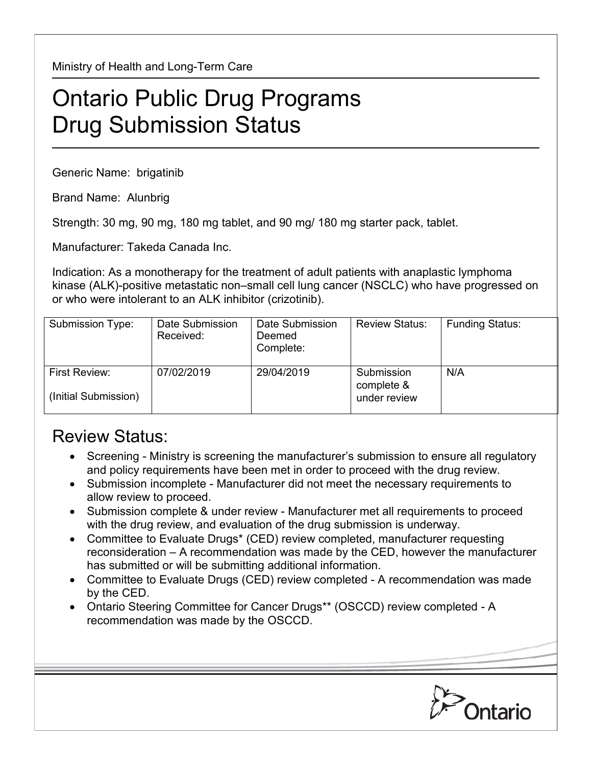Ministry of Health and Long-Term Care

## Ontario Public Drug Programs Drug Submission Status

Generic Name: brigatinib

Brand Name: Alunbrig

Strength: 30 mg, 90 mg, 180 mg tablet, and 90 mg/ 180 mg starter pack, tablet.

Manufacturer: Takeda Canada Inc.

Indication: As a monotherapy for the treatment of adult patients with anaplastic lymphoma kinase (ALK)-positive metastatic non–small cell lung cancer (NSCLC) who have progressed on or who were intolerant to an ALK inhibitor (crizotinib).

| Submission Type:                             | Date Submission<br>Received: | Date Submission<br>Deemed<br>Complete: | <b>Review Status:</b>                    | <b>Funding Status:</b> |
|----------------------------------------------|------------------------------|----------------------------------------|------------------------------------------|------------------------|
| <b>First Review:</b><br>(Initial Submission) | 07/02/2019                   | 29/04/2019                             | Submission<br>complete &<br>under review | N/A                    |

## Review Status:

- Screening Ministry is screening the manufacturer's submission to ensure all regulatory and policy requirements have been met in order to proceed with the drug review.
- Submission incomplete Manufacturer did not meet the necessary requirements to allow review to proceed.
- Submission complete & under review Manufacturer met all requirements to proceed with the drug review, and evaluation of the drug submission is underway.
- Committee to Evaluate Drugs\* (CED) review completed, manufacturer requesting reconsideration – A recommendation was made by the CED, however the manufacturer has submitted or will be submitting additional information.
- Committee to Evaluate Drugs (CED) review completed A recommendation was made by the CED.
- Ontario Steering Committee for Cancer Drugs\*\* (OSCCD) review completed A recommendation was made by the OSCCD.